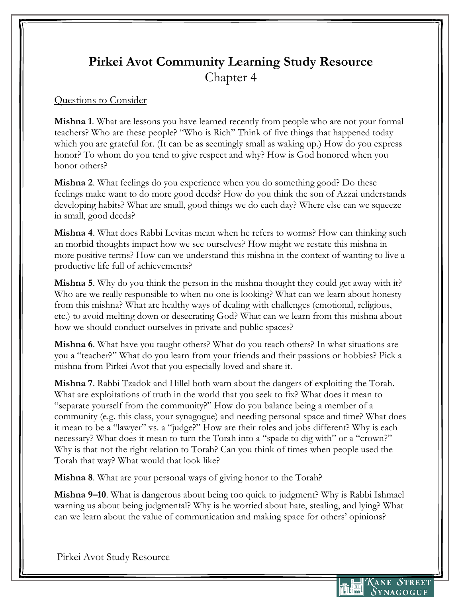## **Pirkei Avot Community Learning Study Resource** Chapter 4

## Questions to Consider

**Mishna 1**. What are lessons you have learned recently from people who are not your formal teachers? Who are these people? "Who is Rich" Think of five things that happened today which you are grateful for. (It can be as seemingly small as waking up.) How do you express honor? To whom do you tend to give respect and why? How is God honored when you honor others?

**Mishna 2**. What feelings do you experience when you do something good? Do these feelings make want to do more good deeds? How do you think the son of Azzai understands developing habits? What are small, good things we do each day? Where else can we squeeze in small, good deeds?

**Mishna 4**. What does Rabbi Levitas mean when he refers to worms? How can thinking such an morbid thoughts impact how we see ourselves? How might we restate this mishna in more positive terms? How can we understand this mishna in the context of wanting to live a productive life full of achievements?

**Mishna 5**. Why do you think the person in the mishna thought they could get away with it? Who are we really responsible to when no one is looking? What can we learn about honesty from this mishna? What are healthy ways of dealing with challenges (emotional, religious, etc.) to avoid melting down or desecrating God? What can we learn from this mishna about how we should conduct ourselves in private and public spaces?

**Mishna 6**. What have you taught others? What do you teach others? In what situations are you a "teacher?" What do you learn from your friends and their passions or hobbies? Pick a mishna from Pirkei Avot that you especially loved and share it.

**Mishna 7**. Rabbi Tzadok and Hillel both warn about the dangers of exploiting the Torah. What are exploitations of truth in the world that you seek to fix? What does it mean to "separate yourself from the community?" How do you balance being a member of a community (e.g. this class, your synagogue) and needing personal space and time? What does it mean to be a "lawyer" vs. a "judge?" How are their roles and jobs different? Why is each necessary? What does it mean to turn the Torah into a "spade to dig with" or a "crown?" Why is that not the right relation to Torah? Can you think of times when people used the Torah that way? What would that look like?

**Mishna 8**. What are your personal ways of giving honor to the Torah?

**Mishna 9–10**. What is dangerous about being too quick to judgment? Why is Rabbi Ishmael warning us about being judgmental? Why is he worried about hate, stealing, and lying? What can we learn about the value of communication and making space for others' opinions?

Pirkei Avot Study Resource

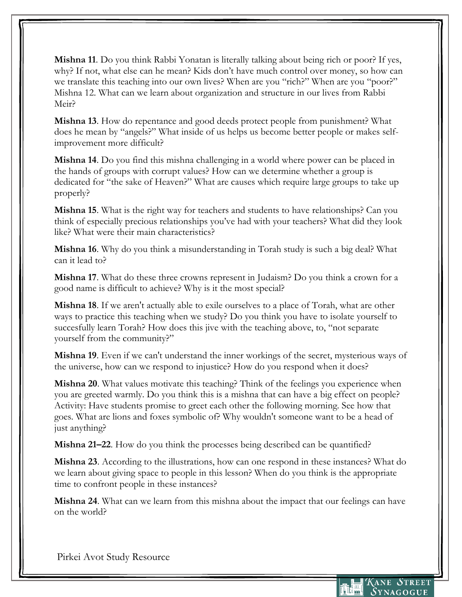**Mishna 11**. Do you think Rabbi Yonatan is literally talking about being rich or poor? If yes, why? If not, what else can he mean? Kids don't have much control over money, so how can we translate this teaching into our own lives? When are you "rich?" When are you "poor?" Mishna 12. What can we learn about organization and structure in our lives from Rabbi Meir?

**Mishna 13**. How do repentance and good deeds protect people from punishment? What does he mean by "angels?" What inside of us helps us become better people or makes selfimprovement more difficult?

**Mishna 14**. Do you find this mishna challenging in a world where power can be placed in the hands of groups with corrupt values? How can we determine whether a group is dedicated for "the sake of Heaven?" What are causes which require large groups to take up properly?

**Mishna 15**. What is the right way for teachers and students to have relationships? Can you think of especially precious relationships you've had with your teachers? What did they look like? What were their main characteristics?

**Mishna 16**. Why do you think a misunderstanding in Torah study is such a big deal? What can it lead to?

**Mishna 17**. What do these three crowns represent in Judaism? Do you think a crown for a good name is difficult to achieve? Why is it the most special?

**Mishna 18**. If we aren't actually able to exile ourselves to a place of Torah, what are other ways to practice this teaching when we study? Do you think you have to isolate yourself to succesfully learn Torah? How does this jive with the teaching above, to, "not separate yourself from the community?"

**Mishna 19**. Even if we can't understand the inner workings of the secret, mysterious ways of the universe, how can we respond to injustice? How do you respond when it does?

**Mishna 20**. What values motivate this teaching? Think of the feelings you experience when you are greeted warmly. Do you think this is a mishna that can have a big effect on people? Activity: Have students promise to greet each other the following morning. See how that goes. What are lions and foxes symbolic of? Why wouldn't someone want to be a head of just anything?

**Mishna 21–22**. How do you think the processes being described can be quantified?

**Mishna 23**. According to the illustrations, how can one respond in these instances? What do we learn about giving space to people in this lesson? When do you think is the appropriate time to confront people in these instances?

**Mishna 24**. What can we learn from this mishna about the impact that our feelings can have on the world?

Pirkei Avot Study Resource